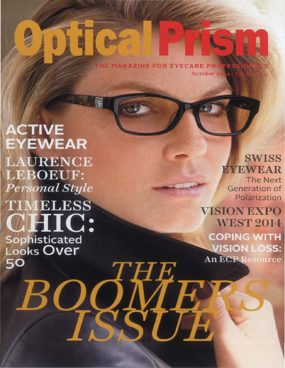**AGAZINE FOR EYECARE PRO** October 20

WHIR

**ACTIVE EYEWEAR LAURENCE LEBOEUF:** Personal Style **TIMELESS 'HIC:** Sophisticated<br>Looks Over 50

贸

SWISS **EYEWEAR** 

The Next Generation of Polarization

VISION EXPO **WEST 2014 COPING WITH VISION LOSS: An ECP Resource**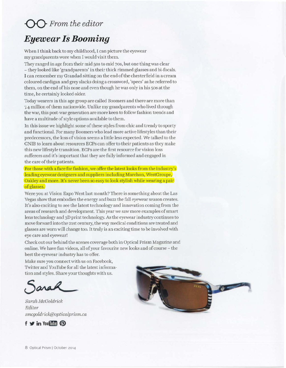# 00 *From the editor*

# *Eyewear Is Booming*

When I think back to my childhood, I can picture the eyewear my grandparents wore when I would visit them.

They ranged in age from their mid 50s to mid 70s, but one thing was clear - they looked like 'grandparents' in their thick rimmed glasses and bi-focals. I can remember my Grandad sitting on the end of the chesterfield in a cream coloured cardigan and grey slacks doing a crossword, 'specs' as he referred to them, on the end of his nose and even though he was only in his 50s at the time, he certainly looked older.

Today wearers in this age group are called Boomers and there are more than 7-4 million of them nationwide. Unlike my grandparents who lived through the war, this post-war generation are more keen to follow fashion trends and have a multitude of style options available to them.

In this issue we highlight some of these styles from chic and trendy to sporty and functional. For many Boomers who lead more active lifestyles than their predecessors, the loss of vision seems a little less expected. We talked to the CNIB to learn about resources ECPs can offer to their patients as they make this new lifestyle transition. ECPs are the first resource for vision loss sufferers and it's important that they are fully informed and engaged in the care of their patients.

For those with a face for fashion, we offer the latest looks from the industry's leading eyewear designers and suppliers including Marchon, WestGroupe, Oakley and more. It's never been so easy to look stylish while wearing a pair of glasses.

Were you at Vision Expo West last month? There is something about the Las Vegas show that embodies the energy and buzz the fall eyewear season creates. It's also exciting to see the latest technology and innovation coming from the areas of research and development. This year we saw more examples of smart lens technology and 3D print technology. As the eyewear industry continues to move forward into the 21st century, the way medical conditions are treated and glasses are worn will change too. It truly is an exciting time to be involved with eye care and eyewear!

Checkout our behind the scenes coverage both in Optical Prism Magazine and online. We have fun videos, all of your favourite new looks and of course - the best the eyewear industry has to offer.

Make sure you connect with us on Facebook, Twitter and YouTube for all the latest information and styles. Share your thoughts with us.

ara

*Samh McGoLd?·iclc Editor smcgoldTiclc@opticalpTism.ca* 



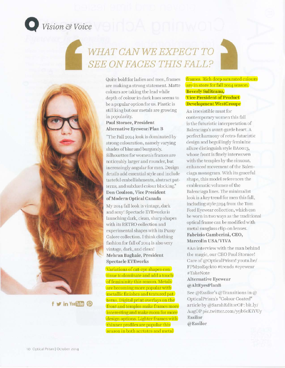

# **0** *Vision* & *Voice*

# WHAT CAN WE EXPECT TO  $SEE$  *ON FACES THIS FALL?*



Quite bold for ladies and men, frames are making a strong statement. Matte colours are taking the lead while depth of colour in dark hues seems to be a popular option for us. Plastic is still king but our metals are growing in popularity.

#### Paul Storace, President Alternative Eyewear/Plan B

"The Fall 2014 look is dominated by strong colouration, namely varying shades oFblue and burgundy. Silhouettes for women's frames are noticeably larger and rounder, but increasingly angular for men. Design details add essential style and include tasteful embellishments, abstract patterns, and subdued colour blocking." Don Coulson, Vice President of Modern Optical Canada

My 2014 fall look is vintage, dark and sexy! Spectacle EYEworks is launching dark, clean, sharp shapes with its RETRO collection and experimental shapes with its Pussy Galore collection. I think clothing fashion for fall of 2014 is also very ' 'intage, dark, and clean! Mehran Baghaie, President Spectacle EYEworks

Variations of cat-eye shapes continue to dominate and add a touch of femininity this season. Metals are becoming more popular with metallic finishes and textured patterns. Digital print overlays on the front and temples make frames more interesting and make room for more design options. Lighter frames with thinner profiles are popular this season in both acetates and metal

#### frames. Rich deep saturated colours are in store for fall 2014 season. Beverly Suliteanu, Vice President of Product Development WestGroupe

An irresistible must for contemporary women this fall is the futuristic interpretation of Balcnciaga's avant garde heart. A perfect harmony of retro-futuristic design and beguilingly feminine allure distinguish style BA0013, whose front is finely interwoven with the temples by the sinuous, enhanced movement of the Balenciaga monogram. With its graceful shape, this model references the emblematic volumes of the Balenciaga lines. The minimalist look is a key trend for men this fall, including style 5294 from the Tom Ford Eyewear collection, which can be worn in two ways as the traditional optical frame can be modified with metal sunglass clip-on lenses. Fabrizio Gamberini, CEO, Marcolin USA/VIVA

~'Au interview with the man behind the magic, our CEO Paul Storace! Care of @OpticalPrism! youtu.be/ FPM2oEqckto #trends #eyewear #TakcNote

#### Alternative Eyewear @AltEyesPlanB

See @Essilor's @Transitions in @ Oplica)Prism's "Colour Coated" article by @SarahEditorOP: bit.ly/ AugOP pic.twitter.com/y9b6eKiYUy Essilor @Essilor



**f** *<b>f* **in** You[Tube  $\circledcirc$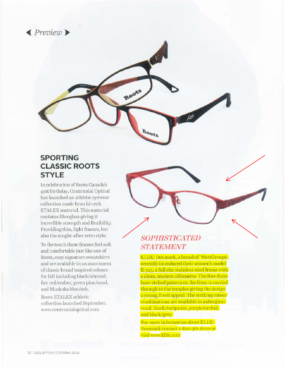



## **SPORTING CLASSIC ROOTS STYLE**

ln celebration of Roots Canada's 41st birthday, Centennial Optical has launched an athletic eyewear collection made from hi-tech ETALEX material. This material contains fibreglass giving it incredible strength and flexibility. Providing thin, light frames, but also the sought-after retro style.

To the touch these frames feel soft and comfortable just like one of Roots, cozy signature sweatshirts and are available in an assortment of classic brand inspired colours for fall including black/almond, fire red/ember, green pine/sand, and Muskoka blue/ash.

Roots ETALEX athletic collection launched September. www.centennialoptical.com

# **801)1118TICATEJJ STATEMENT**

KLiiK: Denmark, a brand of WestGroupe, recently introduced their women's model K 523, a full rim stainless steel frame with a clean, modern silhouette. The free-form laser etched pattern on the front is carried through to the temples giving the design a young, fresh appeal. The striking colour combinations are available in aubergine/ coral. black/turquoise, purple/orchid. and black/grey.

For more information about KLiiK: Denmark contact 1-800-361-6220 or visit www.kliik.com